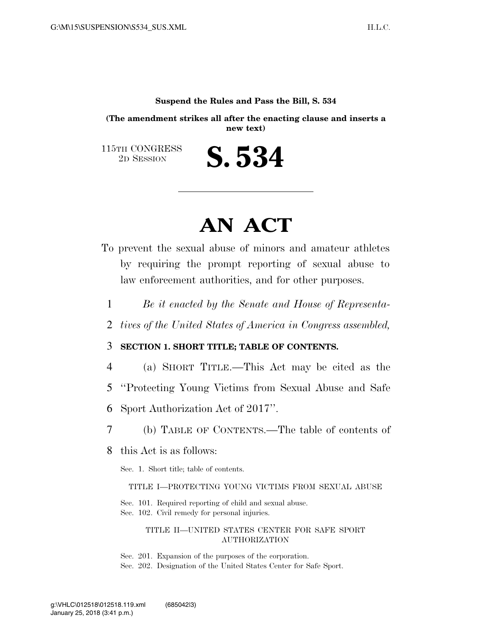#### **Suspend the Rules and Pass the Bill, S. 534**

**(The amendment strikes all after the enacting clause and inserts a new text)** 

S. 534

115TH CONGRESS<br>2D SESSION

## **AN ACT**

- To prevent the sexual abuse of minors and amateur athletes by requiring the prompt reporting of sexual abuse to law enforcement authorities, and for other purposes.
	- 1 *Be it enacted by the Senate and House of Representa-*
	- 2 *tives of the United States of America in Congress assembled,*

### 3 **SECTION 1. SHORT TITLE; TABLE OF CONTENTS.**

- 4 (a) SHORT TITLE.—This Act may be cited as the
- 5 ''Protecting Young Victims from Sexual Abuse and Safe
- 6 Sport Authorization Act of 2017''.
- 7 (b) TABLE OF CONTENTS.—The table of contents of
- 8 this Act is as follows:

Sec. 1. Short title; table of contents.

TITLE I—PROTECTING YOUNG VICTIMS FROM SEXUAL ABUSE

Sec. 101. Required reporting of child and sexual abuse. Sec. 102. Civil remedy for personal injuries.

#### TITLE II—UNITED STATES CENTER FOR SAFE SPORT AUTHORIZATION

Sec. 201. Expansion of the purposes of the corporation.

Sec. 202. Designation of the United States Center for Safe Sport.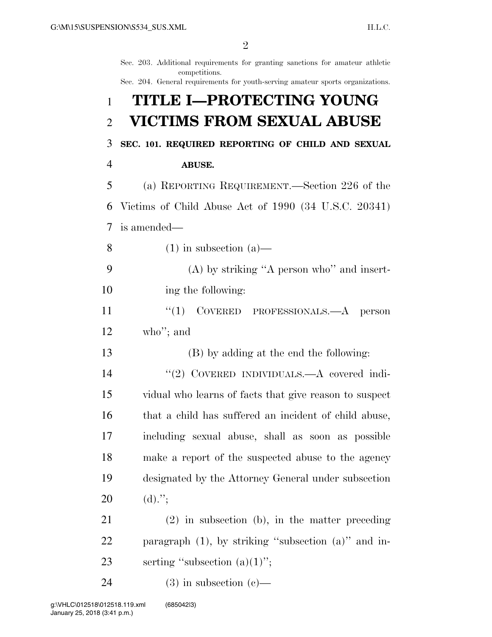|                | Sec. 203. Additional requirements for granting sanctions for amateur athletic<br>competitions. |
|----------------|------------------------------------------------------------------------------------------------|
|                | Sec. 204. General requirements for youth-serving amateur sports organizations.                 |
| 1              | TITLE I-PROTECTING YOUNG                                                                       |
| $\overline{2}$ | <b>VICTIMS FROM SEXUAL ABUSE</b>                                                               |
| 3              | SEC. 101. REQUIRED REPORTING OF CHILD AND SEXUAL                                               |
| $\overline{4}$ | <b>ABUSE.</b>                                                                                  |
| 5              | (a) REPORTING REQUIREMENT.—Section 226 of the                                                  |
| 6              | Victims of Child Abuse Act of $1990$ (34 U.S.C. 20341)                                         |
| 7              | is amended—                                                                                    |
| 8              | $(1)$ in subsection $(a)$ —                                                                    |
| 9              | $(A)$ by striking "A person who" and insert-                                                   |
| 10             | ing the following:                                                                             |
| 11             | ``(1)<br>COVERED PROFESSIONALS.—A person                                                       |
| 12             | who"; and                                                                                      |
| 13             | (B) by adding at the end the following:                                                        |
| 14             | "(2) COVERED INDIVIDUALS.—A covered indi-                                                      |
| 15             | vidual who learns of facts that give reason to suspect                                         |
| 16             | that a child has suffered an incident of child abuse,                                          |
| 17             | including sexual abuse, shall as soon as possible                                              |
| 18             | make a report of the suspected abuse to the agency                                             |
| 19             | designated by the Attorney General under subsection                                            |
| 20             | $(d).$ ";                                                                                      |
| 21             | $(2)$ in subsection (b), in the matter preceding                                               |
| 22             | paragraph $(1)$ , by striking "subsection $(a)$ " and in-                                      |
| 23             | serting "subsection $(a)(1)$ ";                                                                |
| 24             | $(3)$ in subsection $(e)$ —                                                                    |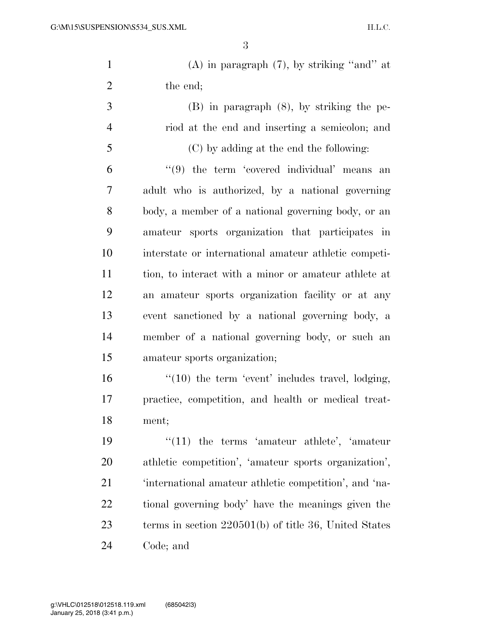| $\mathbf{1}$   | $(A)$ in paragraph $(7)$ , by striking "and" at         |
|----------------|---------------------------------------------------------|
| $\overline{2}$ | the end;                                                |
| 3              | $(B)$ in paragraph $(8)$ , by striking the pe-          |
| $\overline{4}$ | riod at the end and inserting a semicolon; and          |
| 5              | (C) by adding at the end the following:                 |
| 6              | $(9)$ the term 'covered individual' means an            |
| 7              | adult who is authorized, by a national governing        |
| 8              | body, a member of a national governing body, or an      |
| 9              | amateur sports organization that participates in        |
| 10             | interstate or international amateur athletic competi-   |
| 11             | tion, to interact with a minor or amateur athlete at    |
| 12             | an amateur sports organization facility or at any       |
| 13             | event sanctioned by a national governing body, a        |
| 14             | member of a national governing body, or such an         |
| 15             | amateur sports organization;                            |
| 16             | $\lq(10)$ the term 'event' includes travel, lodging,    |
| 17             | practice, competition, and health or medical treat-     |
| 18             | ment;                                                   |
| 19             | $"(11)$ the terms 'amateur athlete', 'amateur'          |
| 20             | athletic competition', 'amateur sports organization',   |
| 21             | 'international amateur athletic competition', and 'na-  |
| 22             | tional governing body' have the meanings given the      |
| 23             | terms in section $220501(b)$ of title 36, United States |

Code; and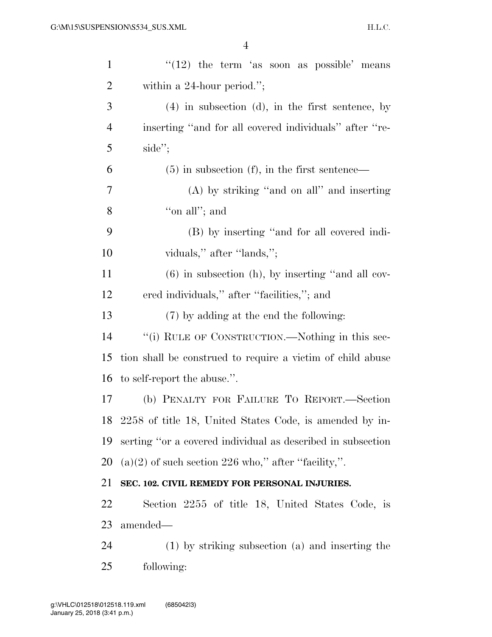| $\mathbf{1}$   | $\cdot\cdot(12)$ the term 'as soon as possible' means       |
|----------------|-------------------------------------------------------------|
| $\overline{2}$ | within a $24$ -hour period.";                               |
| 3              | $(4)$ in subsection $(d)$ , in the first sentence, by       |
| $\overline{4}$ | inserting "and for all covered individuals" after "re-      |
| 5              | side";                                                      |
| 6              | $(5)$ in subsection (f), in the first sentence—             |
| 7              | (A) by striking "and on all" and inserting                  |
| 8              | "on all"; and                                               |
| 9              | (B) by inserting "and for all covered indi-                 |
| 10             | viduals," after "lands,";                                   |
| 11             | $(6)$ in subsection (h), by inserting "and all cov-         |
| 12             | ered individuals," after "facilities,"; and                 |
| 13             | $(7)$ by adding at the end the following:                   |
| 14             | "(i) RULE OF CONSTRUCTION.—Nothing in this sec-             |
| 15             | tion shall be construed to require a victim of child abuse  |
| 16             | to self-report the abuse.".                                 |
| 17             | (b) PENALTY FOR FAILURE TO REPORT.—Section                  |
|                | 18 2258 of title 18, United States Code, is amended by in-  |
| 19             | serting "or a covered individual as described in subsection |
| 20             | $(a)(2)$ of such section 226 who," after "facility,".       |
| 21             | SEC. 102. CIVIL REMEDY FOR PERSONAL INJURIES.               |
| 22             | Section 2255 of title 18, United States Code, is            |
| 23             | amended—                                                    |
| 24             | $(1)$ by striking subsection $(a)$ and inserting the        |
| 25             | following:                                                  |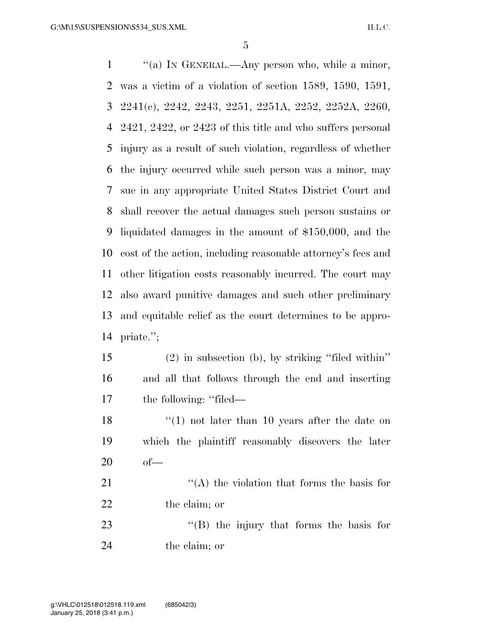''(a) IN GENERAL.—Any person who, while a minor, was a victim of a violation of section 1589, 1590, 1591, 2241(c), 2242, 2243, 2251, 2251A, 2252, 2252A, 2260, 2421, 2422, or 2423 of this title and who suffers personal injury as a result of such violation, regardless of whether the injury occurred while such person was a minor, may sue in any appropriate United States District Court and shall recover the actual damages such person sustains or liquidated damages in the amount of \$150,000, and the cost of the action, including reasonable attorney's fees and other litigation costs reasonably incurred. The court may also award punitive damages and such other preliminary and equitable relief as the court determines to be appro- priate.''; (2) in subsection (b), by striking ''filed within'' and all that follows through the end and inserting the following: ''filed— 18 ''(1) not later than 10 years after the date on which the plaintiff reasonably discovers the later of—  $\langle (A)$  the violation that forms the basis for 22 the claim; or 23 "'(B) the injury that forms the basis for

the claim; or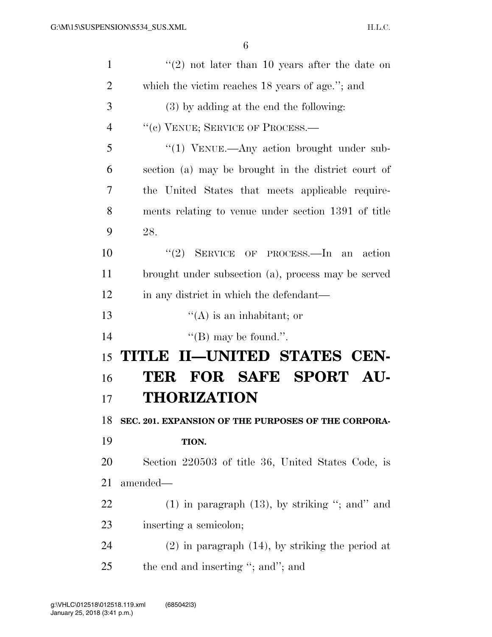| $\mathbf{1}$   | $\lq(2)$ not later than 10 years after the date on    |
|----------------|-------------------------------------------------------|
| $\overline{2}$ | which the victim reaches 18 years of age."; and       |
| 3              | $(3)$ by adding at the end the following:             |
| 4              | "(c) VENUE; SERVICE OF PROCESS.—                      |
| 5              | "(1) VENUE.—Any action brought under sub-             |
| 6              | section (a) may be brought in the district court of   |
| 7              | the United States that meets applicable require-      |
| 8              | ments relating to venue under section 1391 of title   |
| 9              | 28.                                                   |
| 10             | "(2) SERVICE OF PROCESS.—In an action                 |
| 11             | brought under subsection (a), process may be served   |
| 12             | in any district in which the defendant—               |
|                | $\lq\lq$ (A) is an inhabitant; or                     |
| 13             |                                                       |
| 14             | "(B) may be found.".                                  |
| 15             | TITLE II—UNITED STATES CEN-                           |
| 16             | TER FOR SAFE SPORT AU-                                |
| 17             | <b>THORIZATION</b>                                    |
| 18             | SEC. 201. EXPANSION OF THE PURPOSES OF THE CORPORA-   |
| 19             | TION.                                                 |
| 20             | Section 220503 of title 36, United States Code, is    |
| 21             | amended—                                              |
| 22             | $(1)$ in paragraph $(13)$ , by striking "; and" and   |
| 23             | inserting a semicolon;                                |
| 24             | $(2)$ in paragraph $(14)$ , by striking the period at |
| 25             | the end and inserting "; and"; and                    |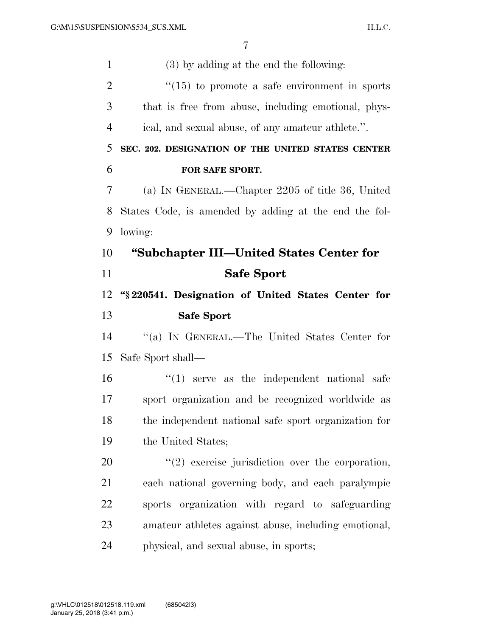(3) by adding at the end the following: ''(15) to promote a safe environment in sports that is free from abuse, including emotional, phys- ical, and sexual abuse, of any amateur athlete.''. **SEC. 202. DESIGNATION OF THE UNITED STATES CENTER FOR SAFE SPORT.**  (a) IN GENERAL.—Chapter 2205 of title 36, United States Code, is amended by adding at the end the fol- lowing: **''Subchapter III—United States Center for Safe Sport ''§ 220541. Designation of United States Center for Safe Sport**  ''(a) IN GENERAL.—The United States Center for Safe Sport shall—  $\mathbf{16}$   $\mathbf{10}$  serve as the independent national safe sport organization and be recognized worldwide as the independent national safe sport organization for the United States; ''(2) exercise jurisdiction over the corporation, each national governing body, and each paralympic sports organization with regard to safeguarding amateur athletes against abuse, including emotional, physical, and sexual abuse, in sports;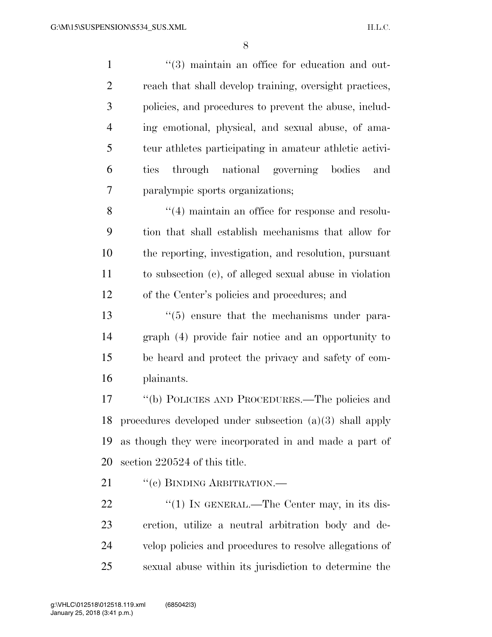| $\mathbf{1}$   | $\cdot\cdot$ (3) maintain an office for education and out-    |
|----------------|---------------------------------------------------------------|
| $\overline{2}$ | reach that shall develop training, oversight practices,       |
| 3              | policies, and procedures to prevent the abuse, includ-        |
| $\overline{4}$ | ing emotional, physical, and sexual abuse, of ama-            |
| 5              | teur athletes participating in amateur athletic activi-       |
| 6              | through national governing bodies<br>ties<br>and              |
| 7              | paralympic sports organizations;                              |
| 8              | $\cdot$ (4) maintain an office for response and resolu-       |
| 9              | tion that shall establish mechanisms that allow for           |
| 10             | the reporting, investigation, and resolution, pursuant        |
| 11             | to subsection (c), of alleged sexual abuse in violation       |
| 12             | of the Center's policies and procedures; and                  |
| 13             | $\cdot\cdot$ (5) ensure that the mechanisms under para-       |
| 14             | graph (4) provide fair notice and an opportunity to           |
| 15             | be heard and protect the privacy and safety of com-           |
| 16             | plainants.                                                    |
| 17             | "(b) POLICIES AND PROCEDURES.—The policies and                |
|                | 18 procedures developed under subsection $(a)(3)$ shall apply |
| 19             | as though they were incorporated in and made a part of        |
| 20             | section 220524 of this title.                                 |
| 21             | "(c) BINDING ARBITRATION.-                                    |
| 22             | "(1) IN GENERAL.—The Center may, in its dis-                  |
| 23             | cretion, utilize a neutral arbitration body and de-           |
| 24             | velop policies and procedures to resolve allegations of       |

sexual abuse within its jurisdiction to determine the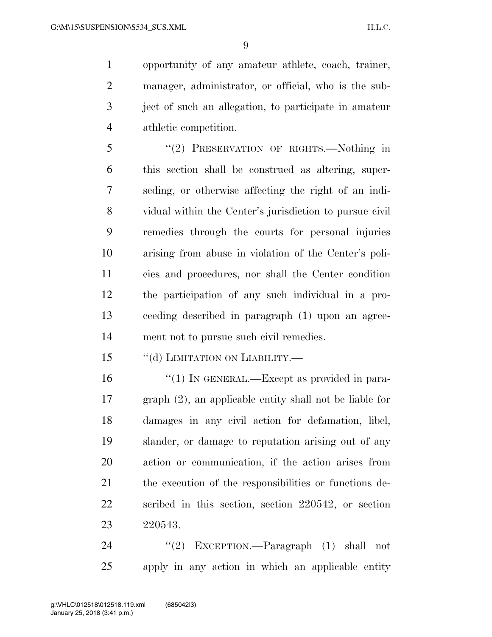opportunity of any amateur athlete, coach, trainer, manager, administrator, or official, who is the sub- ject of such an allegation, to participate in amateur athletic competition.

 ''(2) PRESERVATION OF RIGHTS.—Nothing in this section shall be construed as altering, super- seding, or otherwise affecting the right of an indi- vidual within the Center's jurisdiction to pursue civil remedies through the courts for personal injuries arising from abuse in violation of the Center's poli- cies and procedures, nor shall the Center condition the participation of any such individual in a pro- ceeding described in paragraph (1) upon an agree-ment not to pursue such civil remedies.

15 "(d) LIMITATION ON LIABILITY.—

16 "(1) IN GENERAL.—Except as provided in para- graph (2), an applicable entity shall not be liable for damages in any civil action for defamation, libel, slander, or damage to reputation arising out of any action or communication, if the action arises from the execution of the responsibilities or functions de- scribed in this section, section 220542, or section 220543.

24 "(2) EXCEPTION.—Paragraph (1) shall not apply in any action in which an applicable entity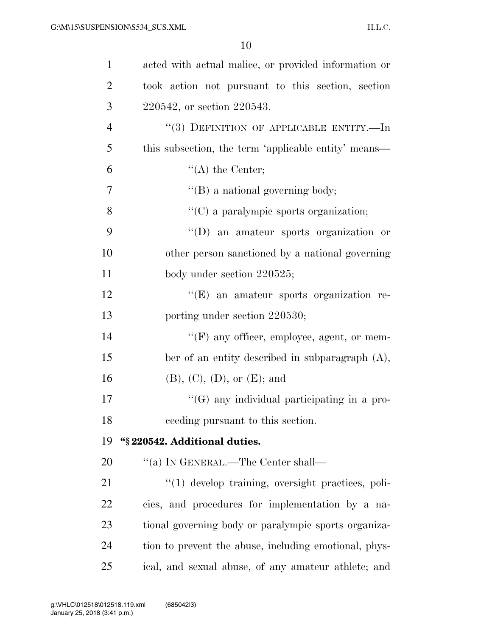| $\mathbf{1}$   | acted with actual malice, or provided information or  |
|----------------|-------------------------------------------------------|
| $\overline{2}$ | took action not pursuant to this section, section     |
| 3              | 220542, or section 220543.                            |
| $\overline{4}$ | "(3) DEFINITION OF APPLICABLE ENTITY.—In              |
| 5              | this subsection, the term 'applicable entity' means—  |
| 6              | $\lq\lq$ the Center;                                  |
| 7              | $\lq\lq (B)$ a national governing body;               |
| 8              | "(C) a paralympic sports organization;                |
| 9              | "(D) an amateur sports organization or                |
| 10             | other person sanctioned by a national governing       |
| 11             | body under section 220525;                            |
| 12             | $\lq\lq(E)$ an amateur sports organization re-        |
| 13             | porting under section 220530;                         |
| 14             | "(F) any officer, employee, agent, or mem-            |
| 15             | ber of an entity described in subparagraph $(A)$ ,    |
| 16             | (B), (C), (D), or (E); and                            |
| 17             | $\lq\lq(G)$ any individual participating in a pro-    |
| 18             | ceeding pursuant to this section.                     |
| 19             | "§ 220542. Additional duties.                         |
| 20             | "(a) IN GENERAL.—The Center shall—                    |
| 21             | "(1) develop training, oversight practices, poli-     |
| 22             | cies, and procedures for implementation by a na-      |
| 23             | tional governing body or paralympic sports organiza-  |
| 24             | tion to prevent the abuse, including emotional, phys- |
| 25             | ical, and sexual abuse, of any amateur athlete; and   |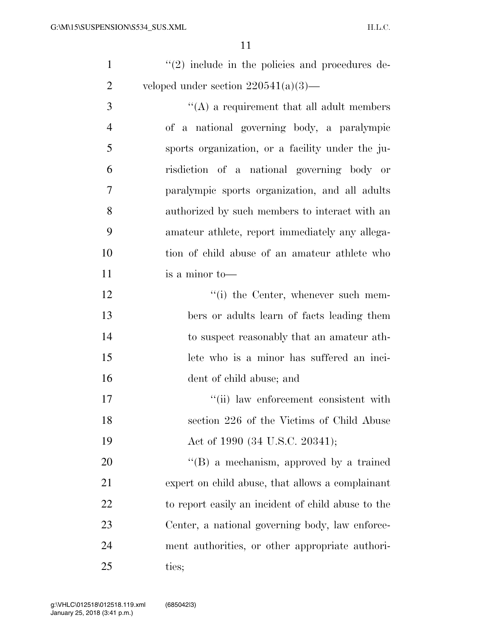| $\lq(2)$ include in the policies and procedures de- |
|-----------------------------------------------------|
| veloped under section $220541(a)(3)$ —              |

 $\langle (A) \rangle$  a requirement that all adult members of a national governing body, a paralympic sports organization, or a facility under the ju- risdiction of a national governing body or paralympic sports organization, and all adults authorized by such members to interact with an amateur athlete, report immediately any allega- tion of child abuse of an amateur athlete who is a minor to—

12 ''(i) the Center, whenever such mem- bers or adults learn of facts leading them to suspect reasonably that an amateur ath- lete who is a minor has suffered an inci-dent of child abuse; and

17  $\frac{1}{10}$  law enforcement consistent with section 226 of the Victims of Child Abuse 19 Act of 1990 (34 U.S.C. 20341);

20 "'(B) a mechanism, approved by a trained expert on child abuse, that allows a complainant to report easily an incident of child abuse to the Center, a national governing body, law enforce- ment authorities, or other appropriate authori-ties;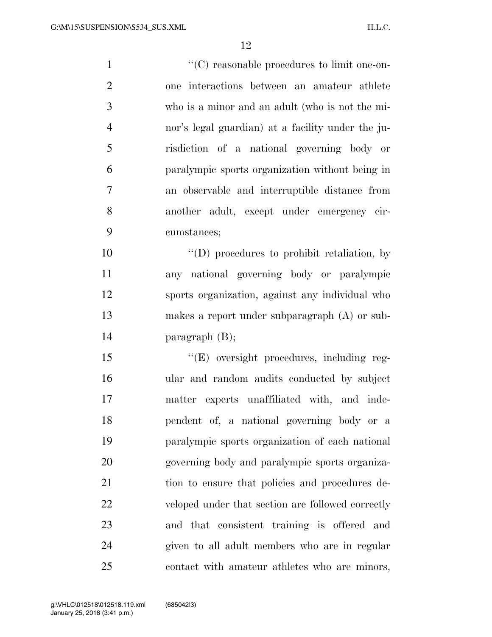$\cdot$  (C) reasonable procedures to limit one-on- one interactions between an amateur athlete who is a minor and an adult (who is not the mi- nor's legal guardian) at a facility under the ju- risdiction of a national governing body or paralympic sports organization without being in an observable and interruptible distance from another adult, except under emergency cir- cumstances;  $\langle f'(D) \rangle$  procedures to prohibit retaliation, by

 any national governing body or paralympic sports organization, against any individual who makes a report under subparagraph (A) or sub-paragraph (B);

15 "(E) oversight procedures, including reg- ular and random audits conducted by subject matter experts unaffiliated with, and inde- pendent of, a national governing body or a paralympic sports organization of each national governing body and paralympic sports organiza- tion to ensure that policies and procedures de- veloped under that section are followed correctly and that consistent training is offered and given to all adult members who are in regular contact with amateur athletes who are minors,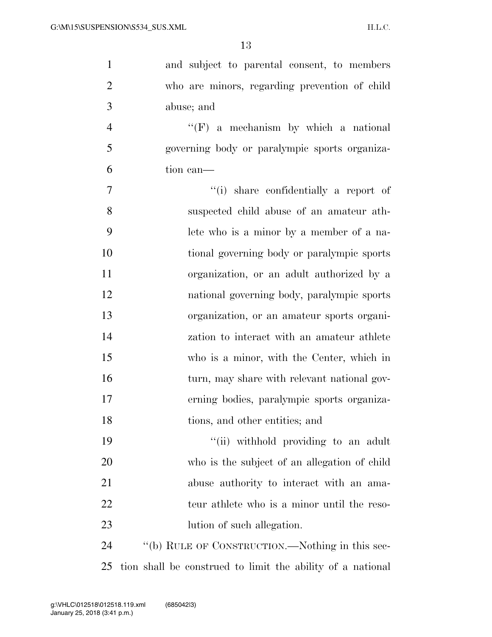| $\mathbf{1}$   | and subject to parental consent, to members                |
|----------------|------------------------------------------------------------|
| $\overline{2}$ | who are minors, regarding prevention of child              |
| 3              | abuse; and                                                 |
| $\overline{4}$ | $\lq\lq(F)$ a mechanism by which a national                |
| 5              | governing body or paralympic sports organiza-              |
| 6              | tion can-                                                  |
| 7              | "(i) share confidentially a report of                      |
| 8              | suspected child abuse of an amateur ath-                   |
| 9              | lete who is a minor by a member of a na-                   |
| 10             | tional governing body or paralympic sports                 |
| 11             | organization, or an adult authorized by a                  |
| 12             | national governing body, paralympic sports                 |
| 13             | organization, or an amateur sports organi-                 |
| 14             | zation to interact with an amateur athlete                 |
| 15             | who is a minor, with the Center, which in                  |
| 16             | turn, may share with relevant national gov-                |
| 17             | erning bodies, paralympic sports organiza-                 |
| 18             | tions, and other entities; and                             |
| 19             | "(ii) withhold providing to an adult                       |
| 20             | who is the subject of an allegation of child               |
| 21             | abuse authority to interact with an ama-                   |
| 22             | teur athlete who is a minor until the reso-                |
| 23             | lution of such allegation.                                 |
| 24             | "(b) RULE OF CONSTRUCTION.—Nothing in this sec-            |
| 25             | tion shall be construed to limit the ability of a national |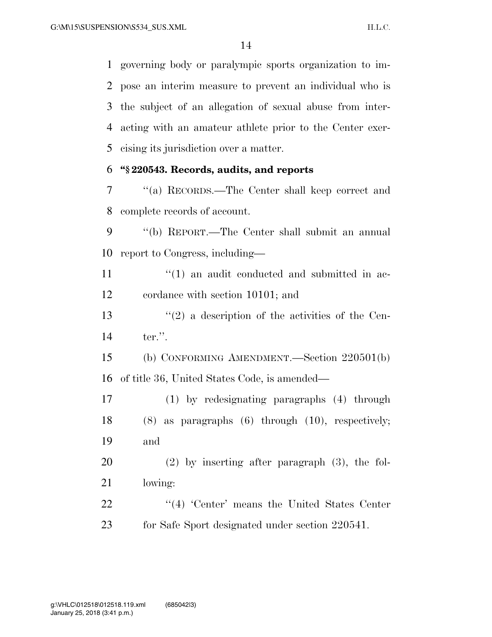governing body or paralympic sports organization to im- pose an interim measure to prevent an individual who is the subject of an allegation of sexual abuse from inter- acting with an amateur athlete prior to the Center exer-cising its jurisdiction over a matter.

### **''§ 220543. Records, audits, and reports**

 ''(a) RECORDS.—The Center shall keep correct and complete records of account.

 ''(b) REPORT.—The Center shall submit an annual report to Congress, including—

 $\frac{11}{11}$  ''(1) an audit conducted and submitted in ac-cordance with section 10101; and

 $\frac{13}{2}$  ''(2) a description of the activities of the Cen-ter.''.

 (b) CONFORMING AMENDMENT.—Section 220501(b) of title 36, United States Code, is amended—

 (1) by redesignating paragraphs (4) through (8) as paragraphs (6) through (10), respectively; and

 (2) by inserting after paragraph (3), the fol-lowing:

22 ''(4) 'Center' means the United States Center for Safe Sport designated under section 220541.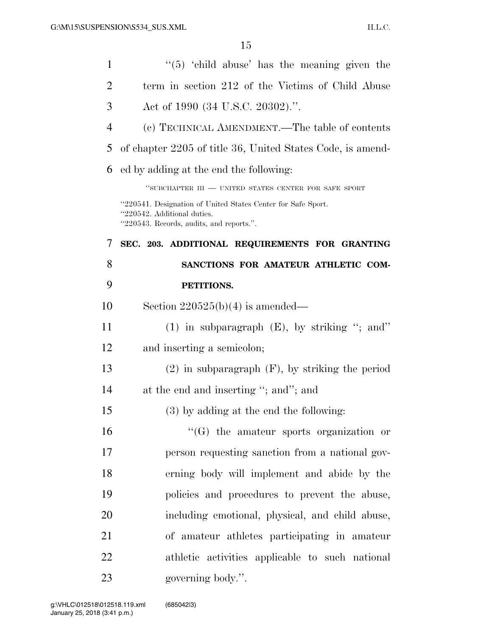| $\mathbf{1}$   | $\cdot\cdot$ (5) $\cdot\cdot$ child abuse' has the meaning given the                                                                    |
|----------------|-----------------------------------------------------------------------------------------------------------------------------------------|
| 2              | term in section 212 of the Victims of Child Abuse                                                                                       |
| 3              | Act of 1990 (34 U.S.C. 20302).".                                                                                                        |
| $\overline{4}$ | (c) TECHNICAL AMENDMENT.—The table of contents                                                                                          |
| 5              | of chapter 2205 of title 36, United States Code, is amend-                                                                              |
| 6              | ed by adding at the end the following:                                                                                                  |
|                | "SUBCHAPTER $III$ — UNITED STATES CENTER FOR SAFE SPORT                                                                                 |
|                | "220541. Designation of United States Center for Safe Sport.<br>"220542. Additional duties.<br>"220543. Records, audits, and reports.". |
| 7              | SEC. 203. ADDITIONAL REQUIREMENTS FOR GRANTING                                                                                          |
| 8              | SANCTIONS FOR AMATEUR ATHLETIC COM-                                                                                                     |
| 9              | PETITIONS.                                                                                                                              |
| 10             | Section $220525(b)(4)$ is amended—                                                                                                      |
| 11             | (1) in subparagraph $(E)$ , by striking "; and"                                                                                         |
| 12             | and inserting a semicolon;                                                                                                              |
| 13             | $(2)$ in subparagraph $(F)$ , by striking the period                                                                                    |
| 14             | at the end and inserting "; and"; and                                                                                                   |
| 15             | (3) by adding at the end the following:                                                                                                 |
| 16             | $\lq\lq(G)$ the amateur sports organization or                                                                                          |
| 17             | person requesting sanction from a national gov-                                                                                         |
| 18             | erning body will implement and abide by the                                                                                             |
| 19             | policies and procedures to prevent the abuse,                                                                                           |
| 20             | including emotional, physical, and child abuse,                                                                                         |
| 21             | of amateur athletes participating in amateur                                                                                            |
| 22             | athletic activities applicable to such national                                                                                         |
| 23             | governing body.".                                                                                                                       |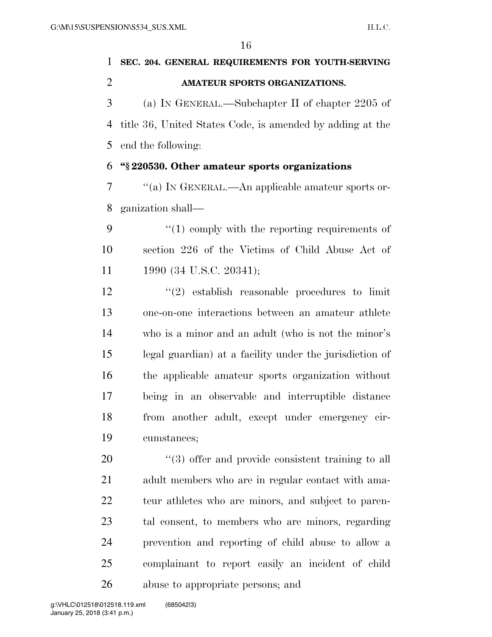# **SEC. 204. GENERAL REQUIREMENTS FOR YOUTH-SERVING AMATEUR SPORTS ORGANIZATIONS.**  (a) IN GENERAL.—Subchapter II of chapter 2205 of title 36, United States Code, is amended by adding at the end the following: **''§ 220530. Other amateur sports organizations**  ''(a) IN GENERAL.—An applicable amateur sports or- ganization shall—  $\mathcal{P}$  (1) comply with the reporting requirements of section 226 of the Victims of Child Abuse Act of 11 1990 (34 U.S.C. 20341); ''(2) establish reasonable procedures to limit one-on-one interactions between an amateur athlete who is a minor and an adult (who is not the minor's legal guardian) at a facility under the jurisdiction of the applicable amateur sports organization without being in an observable and interruptible distance from another adult, except under emergency cir- cumstances; 20  $\frac{4}{3}$  offer and provide consistent training to all adult members who are in regular contact with ama- teur athletes who are minors, and subject to paren- tal consent, to members who are minors, regarding prevention and reporting of child abuse to allow a complainant to report easily an incident of child

abuse to appropriate persons; and